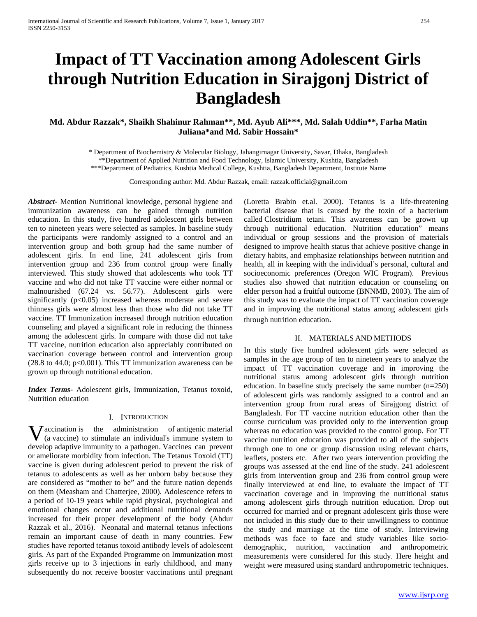# **Impact of TT Vaccination among Adolescent Girls through Nutrition Education in Sirajgonj District of Bangladesh**

# **Md. Abdur Razzak\*, Shaikh Shahinur Rahman\*\*, Md. Ayub Ali\*\*\*, Md. Salah Uddin\*\*, Farha Matin Juliana\*and Md. Sabir Hossain\***

\* Department of Biochemistry & Molecular Biology, Jahangirnagar University, Savar, Dhaka, Bangladesh \*\*Department of Applied Nutrition and Food Technology, Islamic University, Kushtia, Bangladesh

\*\*\*Department of Pediatrics, Kushtia Medical College, Kushtia, Bangladesh Department, Institute Name

Corresponding author: Md. Abdur Razzak, email: razzak.official@gmail.com

*Abstract***-** Mention Nutritional knowledge, personal hygiene and immunization awareness can be gained through nutrition education. In this study, five hundred adolescent girls between ten to nineteen years were selected as samples. In baseline study the participants were randomly assigned to a control and an intervention group and both group had the same number of adolescent girls. In end line, 241 adolescent girls from intervention group and 236 from control group were finally interviewed. This study showed that adolescents who took TT vaccine and who did not take TT vaccine were either normal or malnourished (67.24 vs. 56.77). Adolescent girls were significantly  $(p<0.05)$  increased whereas moderate and severe thinness girls were almost less than those who did not take TT vaccine. TT Immunization increased through nutrition education counseling and played a significant role in reducing the thinness among the adolescent girls. In compare with those did not take TT vaccine, nutrition education also appreciably contributed on vaccination coverage between control and intervention group  $(28.8 \text{ to } 44.0; \text{ p} < 0.001)$ . This TT immunization awareness can be grown up through nutritional education.

*Index Terms*- Adolescent girls, Immunization, Tetanus toxoid, Nutrition education

# I. INTRODUCTION

accination is the administration of [antigenic](https://en.wikipedia.org/wiki/Antigen) material **V** accination is the administration of antigenic material (a [vaccine\)](https://en.wikipedia.org/wiki/Vaccine) to stimulate an individual's immune system to develop [adaptive](https://en.wikipedia.org/wiki/Adaptive_immune_system) [immunity](https://en.wikipedia.org/wiki/Immunity_(medical)) to a [pathogen.](https://en.wikipedia.org/wiki/Pathogen) Vaccines can prevent or ameliorate [morbidity](https://en.wikipedia.org/wiki/Morbidity) from [infection.](https://en.wikipedia.org/wiki/Infection) The Tetanus Toxoid (TT) vaccine is given during adolescent period to prevent the risk of tetanus to adolescents as well as her [unborn baby](http://www.babycenter.in/l1019177/growing-baby-photos) because they are considered as "mother to be" and the future nation depends on them (Measham and Chatterjee, 2000). Adolescence refers to a period of 10-19 years while rapid physical, psychological and emotional changes occur and additional nutritional demands increased for their proper development of the body (Abdur Razzak et al., 2016). Neonatal and maternal tetanus infections remain an important cause of death in many countries. Few studies have reported tetanus toxoid antibody levels of adolescent girls. As part of the Expanded Programme on Immunization most girls receive up to 3 injections in early childhood, and many subsequently do not receive booster vaccinations until pregnant

[\(Loretta Brabin](http://trstmh.oxfordjournals.org/search?author1=Loretta+Brabin&sortspec=date&submit=Submit) et.al. 2000). Tetanus is a life-threatening bacterial disease that is caused by the toxin of a bacterium called Clostridium tetani. This awareness can be grown up through nutritional education. Nutrition education" means individual or group sessions and the provision of materials designed to improve health status that achieve positive change in dietary habits, and emphasize relationships between nutrition and health, all in keeping with the individual's personal, cultural and socioeconomic preferences (Oregon WIC Program). Previous studies also showed that nutrition education or counseling on elder person had a fruitful outcome (BNNMB, 2003). The aim of this study was to evaluate the impact of TT vaccination coverage and in improving the nutritional status among adolescent girls through nutrition education.

# II. MATERIALS AND METHODS

In this study five hundred adolescent girls were selected as samples in the age group of ten to nineteen years to analyze the impact of TT vaccination coverage and in improving the nutritional status among adolescent girls through nutrition education. In baseline study precisely the same number (n=250) of adolescent girls was randomly assigned to a control and an intervention group from rural areas of Sirajgong district of Bangladesh. For TT vaccine nutrition education other than the course curriculum was provided only to the intervention group whereas no education was provided to the control group. For TT vaccine nutrition education was provided to all of the subjects through one to one or group discussion using relevant charts, leaflets, posters etc. After two years intervention providing the groups was assessed at the end line of the study. 241 adolescent girls from intervention group and 236 from control group were finally interviewed at end line, to evaluate the impact of TT vaccination coverage and in improving the nutritional status among adolescent girls through nutrition education. Drop out occurred for married and or pregnant adolescent girls those were not included in this study due to their unwillingness to continue the study and marriage at the time of study. Interviewing methods was face to face and study variables like sociodemographic, nutrition, vaccination and anthropometric measurements were considered for this study. Here height and weight were measured using standard anthropometric techniques.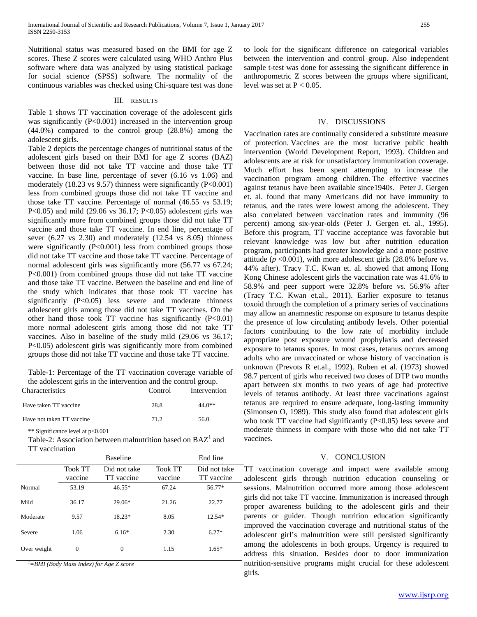Nutritional status was measured based on the BMI for age Z scores. These Z scores were calculated using WHO Anthro Plus software where data was analyzed by using statistical package for social science (SPSS) software. The normality of the continuous variables was checked using Chi-square test was done

#### III. RESULTS

Table 1 shows TT vaccination coverage of the adolescent girls was significantly  $(P<0.001)$  increased in the intervention group (44.0%) compared to the control group (28.8%) among the adolescent girls.

Table 2 depicts the percentage changes of nutritional status of the adolescent girls based on their BMI for age Z scores (BAZ) between those did not take TT vaccine and those take TT vaccine. In base line, percentage of sever (6.16 vs 1.06) and moderately (18.23 vs 9.57) thinness were significantly (P<0.001) less from combined groups those did not take TT vaccine and those take TT vaccine. Percentage of normal (46.55 vs 53.19; P<0.05) and mild (29.06 vs 36.17; P<0.05) adolescent girls was significantly more from combined groups those did not take TT vaccine and those take TT vaccine. In end line, percentage of sever (6.27 vs 2.30) and moderately (12.54 vs 8.05) thinness were significantly (P<0.001) less from combined groups those did not take TT vaccine and those take TT vaccine. Percentage of normal adolescent girls was significantly more (56.77 vs 67.24; P<0.001) from combined groups those did not take TT vaccine and those take TT vaccine. Between the baseline and end line of the study which indicates that those took TT vaccine has significantly (P<0.05) less severe and moderate thinness adolescent girls among those did not take TT vaccines. On the other hand those took  $TT$  vaccine has significantly  $(P<0.01)$ more normal adolescent girls among those did not take TT vaccines. Also in baseline of the study mild (29.06 vs 36.17; P<0.05) adolescent girls was significantly more from combined groups those did not take TT vaccine and those take TT vaccine.

Table-1: Percentage of the TT vaccination coverage variable of the adolescent girls in the intervention and the control group.

| Characteristics           | Control | Intervention |
|---------------------------|---------|--------------|
| Have taken TT vaccine     | 28.8    | 44.0**       |
| Have not taken TT vaccine | 71 2    | 56.0         |
|                           |         |              |

\*\* Significance level at p<0.001

Table-2: Association between malnutrition based on  $BAZ<sup>1</sup>$  and TT vaccination

|             |                           | <b>Baseline</b>            |                           | End line                   |
|-------------|---------------------------|----------------------------|---------------------------|----------------------------|
|             | <b>Took TT</b><br>vaccine | Did not take<br>TT vaccine | <b>Took TT</b><br>vaccine | Did not take<br>TT vaccine |
| Normal      | 53.19                     | $46.55*$                   | 67.24                     | 56.77*                     |
| Mild        | 36.17                     | $29.06*$                   | 21.26                     | 22.77                      |
| Moderate    | 9.57                      | 18.23*                     | 8.05                      | $12.54*$                   |
| Severe      | 1.06                      | $6.16*$                    | 2.30                      | $6.27*$                    |
| Over weight | $\Omega$                  | $\Omega$                   | 1.15                      | $1.65*$                    |

*1 =BMI (Body Mass Index) for Age Z score*

to look for the significant difference on categorical variables between the intervention and control group. Also independent sample t-test was done for assessing the significant difference in anthropometric Z scores between the groups where significant, level was set at  $P < 0.05$ .

## IV. DISCUSSIONS

Vaccination rates are continually considered a substitute measure of protection. Vaccines are the most lucrative public health intervention (World Development Report, 1993). Children and adolescents are at risk for unsatisfactory immunization coverage. Much effort has been spent attempting to increase the vaccination program among children. The effective vaccines against tetanus have been available since1940s. Peter J. Gergen et. al. found that many Americans did not have immunity to tetanus, and the rates were lowest among the adolescent. They also correlated between vaccination rates and immunity (96 percent) among six-year-olds (Peter J. Gergen et. al., 1995). Before this program, TT vaccine acceptance was favorable but relevant knowledge was low but after nutrition education program, participants had greater knowledge and a more positive attitude  $(p \le 0.001)$ , with more adolescent girls  $(28.8\% \text{ before vs.})$ 44% after). [Tracy T.C. Kwan](javascript:void(0);) et. al. showed that among Hong Kong Chinese adolescent girls the vaccination rate was 41.6% to 58.9% and peer support were 32.8% before vs. 56.9% after [\(Tracy T.C. Kwan](javascript:void(0);) et.al., 2011). Earlier exposure to tetanus toxoid through the completion of a primary series of vaccinations may allow an anamnestic response on exposure to tetanus despite the presence of low circulating antibody levels. Other potential factors contributing to the low rate of morbidity include appropriate post exposure wound prophylaxis and decreased exposure to tetanus spores. In most cases, tetanus occurs among adults who are unvaccinated or whose history of vaccination is unknown (Prevots R et.al., 1992). Ruben et al. (1973) showed 98.7 percent of girls who received two doses of DTP two months apart between six months to two years of age had protective levels of tetanus antibody. At least three vaccinations against tetanus are required to ensure adequate, long-lasting immunity (Simonsen O, 1989). This study also found that adolescent girls who took TT vaccine had significantly (P<0.05) less severe and moderate thinness in compare with those who did not take TT vaccines.

## V. CONCLUSION

TT vaccination coverage and impact were available among adolescent girls through nutrition education counseling or sessions. Malnutrition occurred more among those adolescent girls did not take TT vaccine. Immunization is increased through proper awareness building to the adolescent girls and their parents or guider. Though nutrition education significantly improved the vaccination coverage and nutritional status of the adolescent girl's malnutrition were still persisted significantly among the adolescents in both groups. Urgency is required to address this situation. Besides door to door immunization nutrition-sensitive programs might crucial for these adolescent girls.